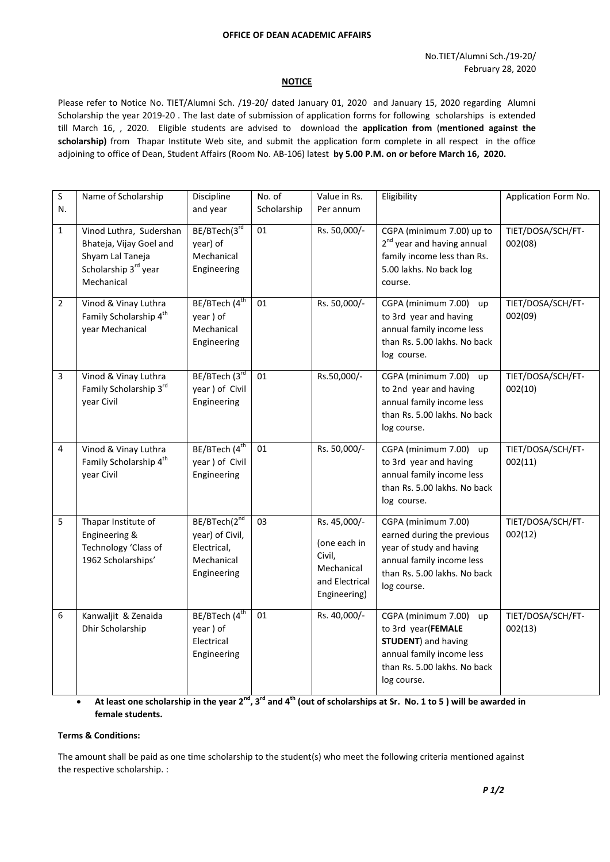#### **OFFICE OF DEAN ACADEMIC AFFAIRS**

#### **NOTICE**

Please refer to Notice No. TIET/Alumni Sch. /19-20/ dated January 01, 2020 and January 15, 2020 regarding Alumni Scholarship the year 2019-20 . The last date of submission of application forms for following scholarships is extended till March 16, , 2020. Eligible students are advised to download the **application from** (**mentioned against the scholarship)** from Thapar Institute Web site, and submit the application form complete in all respect in the office adjoining to office of Dean, Student Affairs (Room No. AB-106) latest **by 5.00 P.M. on or before March 16, 2020.**

| S              | Name of Scholarship                                                                                          | Discipline                                                                  | No. of      | Value in Rs.                                                                           | Eligibility                                                                                                                                                | Application Form No.         |
|----------------|--------------------------------------------------------------------------------------------------------------|-----------------------------------------------------------------------------|-------------|----------------------------------------------------------------------------------------|------------------------------------------------------------------------------------------------------------------------------------------------------------|------------------------------|
| N.             |                                                                                                              | and year                                                                    | Scholarship | Per annum                                                                              |                                                                                                                                                            |                              |
| 1              | Vinod Luthra, Sudershan<br>Bhateja, Vijay Goel and<br>Shyam Lal Taneja<br>Scholarship 3rd year<br>Mechanical | BE/BTech(3rd<br>year) of<br>Mechanical<br>Engineering                       | 01          | Rs. 50,000/-                                                                           | CGPA (minimum 7.00) up to<br>2 <sup>nd</sup> year and having annual<br>family income less than Rs.<br>5.00 lakhs. No back log<br>course.                   | TIET/DOSA/SCH/FT-<br>002(08) |
| $\overline{2}$ | Vinod & Vinay Luthra<br>Family Scholarship 4 <sup>th</sup><br>year Mechanical                                | BE/BTech (4 <sup>th</sup><br>year) of<br>Mechanical<br>Engineering          | 01          | Rs. 50,000/-                                                                           | CGPA (minimum 7.00) up<br>to 3rd year and having<br>annual family income less<br>than Rs. 5.00 lakhs. No back<br>log course.                               | TIET/DOSA/SCH/FT-<br>002(09) |
| 3              | Vinod & Vinay Luthra<br>Family Scholarship 3rd<br>year Civil                                                 | BE/BTech (3rd<br>year) of Civil<br>Engineering                              | 01          | Rs.50,000/-                                                                            | CGPA (minimum 7.00) up<br>to 2nd year and having<br>annual family income less<br>than Rs. 5.00 lakhs. No back<br>log course.                               | TIET/DOSA/SCH/FT-<br>002(10) |
| 4              | Vinod & Vinay Luthra<br>Family Scholarship 4 <sup>th</sup><br>year Civil                                     | BE/BTech (4 <sup>th</sup><br>year ) of Civil<br>Engineering                 | 01          | Rs. 50,000/-                                                                           | CGPA (minimum 7.00)<br>up<br>to 3rd year and having<br>annual family income less<br>than Rs. 5.00 lakhs. No back<br>log course.                            | TIET/DOSA/SCH/FT-<br>002(11) |
| 5              | Thapar Institute of<br>Engineering &<br>Technology 'Class of<br>1962 Scholarships'                           | BE/BTech(2nd<br>year) of Civil,<br>Electrical,<br>Mechanical<br>Engineering | 03          | Rs. 45,000/-<br>(one each in<br>Civil,<br>Mechanical<br>and Electrical<br>Engineering) | CGPA (minimum 7.00)<br>earned during the previous<br>year of study and having<br>annual family income less<br>than Rs. 5.00 lakhs. No back<br>log course.  | TIET/DOSA/SCH/FT-<br>002(12) |
| 6              | Kanwaljit & Zenaida<br>Dhir Scholarship                                                                      | BE/BTech (4 <sup>th</sup><br>year) of<br>Electrical<br>Engineering          | 01          | Rs. 40,000/-                                                                           | CGPA (minimum 7.00)<br>up<br>to 3rd year(FEMALE<br><b>STUDENT</b> ) and having<br>annual family income less<br>than Rs. 5.00 lakhs. No back<br>log course. | TIET/DOSA/SCH/FT-<br>002(13) |

 **At least one scholarship in the year 2nd, 3rd and 4th (out of scholarships at Sr. No. 1 to 5 ) will be awarded in female students.**

#### **Terms & Conditions:**

The amount shall be paid as one time scholarship to the student(s) who meet the following criteria mentioned against the respective scholarship. :